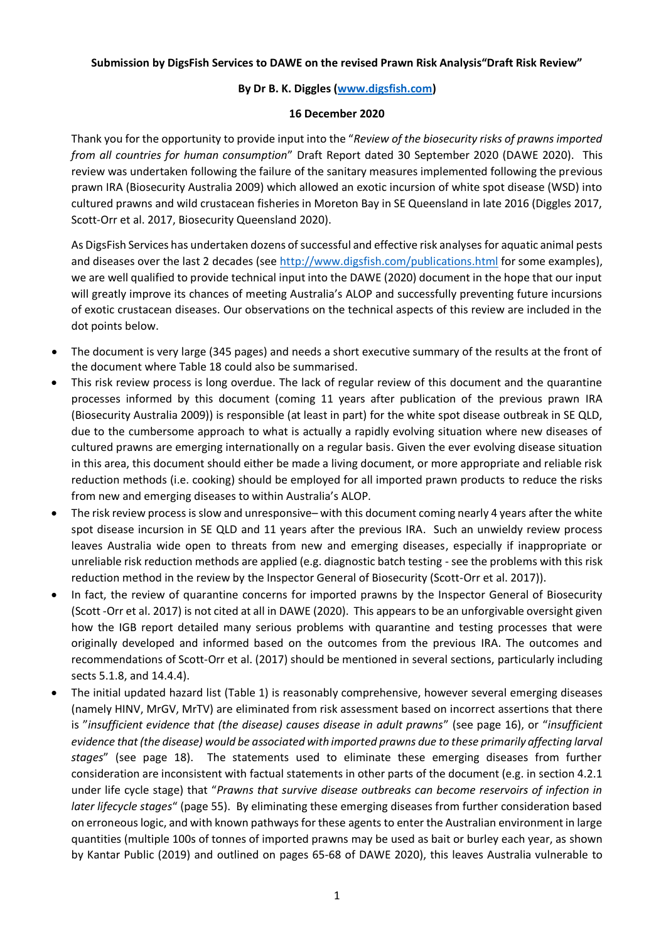#### **Submission by DigsFish Services to DAWE on the revised Prawn Risk Analysis"Draft Risk Review"**

# **By Dr B. K. Diggles [\(www.digsfish.com\)](http://www.digsfish.com/)**

### **16 December 2020**

Thank you for the opportunity to provide input into the "*Review of the biosecurity risks of prawns imported from all countries for human consumption*" Draft Report dated 30 September 2020 (DAWE 2020). This review was undertaken following the failure of the sanitary measures implemented following the previous prawn IRA (Biosecurity Australia 2009) which allowed an exotic incursion of white spot disease (WSD) into cultured prawns and wild crustacean fisheries in Moreton Bay in SE Queensland in late 2016 (Diggles 2017, Scott-Orr et al. 2017, Biosecurity Queensland 2020).

As DigsFish Services has undertaken dozens of successful and effective risk analyses for aquatic animal pests and diseases over the last 2 decades (see <http://www.digsfish.com/publications.html> for some examples), we are well qualified to provide technical input into the DAWE (2020) document in the hope that our input will greatly improve its chances of meeting Australia's ALOP and successfully preventing future incursions of exotic crustacean diseases. Our observations on the technical aspects of this review are included in the dot points below.

- The document is very large (345 pages) and needs a short executive summary of the results at the front of the document where Table 18 could also be summarised.
- This risk review process is long overdue. The lack of regular review of this document and the quarantine processes informed by this document (coming 11 years after publication of the previous prawn IRA (Biosecurity Australia 2009)) is responsible (at least in part) for the white spot disease outbreak in SE QLD, due to the cumbersome approach to what is actually a rapidly evolving situation where new diseases of cultured prawns are emerging internationally on a regular basis. Given the ever evolving disease situation in this area, this document should either be made a living document, or more appropriate and reliable risk reduction methods (i.e. cooking) should be employed for all imported prawn products to reduce the risks from new and emerging diseases to within Australia's ALOP.
- The risk review process is slow and unresponsive– with this document coming nearly 4 years after the white spot disease incursion in SE QLD and 11 years after the previous IRA. Such an unwieldy review process leaves Australia wide open to threats from new and emerging diseases, especially if inappropriate or unreliable risk reduction methods are applied (e.g. diagnostic batch testing - see the problems with this risk reduction method in the review by the Inspector General of Biosecurity (Scott-Orr et al. 2017)).
- In fact, the review of quarantine concerns for imported prawns by the Inspector General of Biosecurity (Scott -Orr et al. 2017) is not cited at all in DAWE (2020). This appears to be an unforgivable oversight given how the IGB report detailed many serious problems with quarantine and testing processes that were originally developed and informed based on the outcomes from the previous IRA. The outcomes and recommendations of Scott-Orr et al. (2017) should be mentioned in several sections, particularly including sects 5.1.8, and 14.4.4).
- The initial updated hazard list (Table 1) is reasonably comprehensive, however several emerging diseases (namely HINV, MrGV, MrTV) are eliminated from risk assessment based on incorrect assertions that there is "*insufficient evidence that (the disease) causes disease in adult prawns*" (see page 16), or "*insufficient evidence that (the disease) would be associated with imported prawns due to these primarily affecting larval stages*" (see page 18). The statements used to eliminate these emerging diseases from further consideration are inconsistent with factual statements in other parts of the document (e.g. in section 4.2.1 under life cycle stage) that "*Prawns that survive disease outbreaks can become reservoirs of infection in later lifecycle stages*" (page 55). By eliminating these emerging diseases from further consideration based on erroneous logic, and with known pathways for these agents to enter the Australian environment in large quantities (multiple 100s of tonnes of imported prawns may be used as bait or burley each year, as shown by Kantar Public (2019) and outlined on pages 65-68 of DAWE 2020), this leaves Australia vulnerable to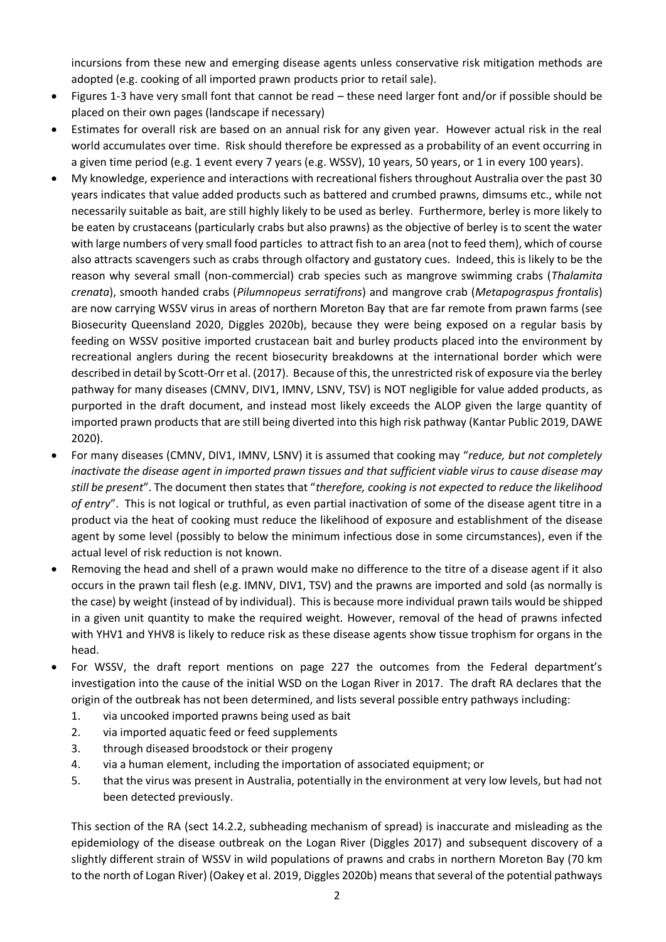incursions from these new and emerging disease agents unless conservative risk mitigation methods are adopted (e.g. cooking of all imported prawn products prior to retail sale).

- Figures 1-3 have very small font that cannot be read these need larger font and/or if possible should be placed on their own pages (landscape if necessary)
- Estimates for overall risk are based on an annual risk for any given year. However actual risk in the real world accumulates over time. Risk should therefore be expressed as a probability of an event occurring in a given time period (e.g. 1 event every 7 years (e.g. WSSV), 10 years, 50 years, or 1 in every 100 years).
- My knowledge, experience and interactions with recreational fishers throughout Australia over the past 30 years indicates that value added products such as battered and crumbed prawns, dimsums etc., while not necessarily suitable as bait, are still highly likely to be used as berley. Furthermore, berley is more likely to be eaten by crustaceans (particularly crabs but also prawns) as the objective of berley is to scent the water with large numbers of very small food particles to attract fish to an area (not to feed them), which of course also attracts scavengers such as crabs through olfactory and gustatory cues. Indeed, this is likely to be the reason why several small (non-commercial) crab species such as mangrove swimming crabs (*Thalamita crenata*), smooth handed crabs (*Pilumnopeus serratifrons*) and mangrove crab (*Metapograspus frontalis*) are now carrying WSSV virus in areas of northern Moreton Bay that are far remote from prawn farms (see Biosecurity Queensland 2020, Diggles 2020b), because they were being exposed on a regular basis by feeding on WSSV positive imported crustacean bait and burley products placed into the environment by recreational anglers during the recent biosecurity breakdowns at the international border which were described in detail by Scott-Orr et al. (2017). Because of this, the unrestricted risk of exposure via the berley pathway for many diseases (CMNV, DIV1, IMNV, LSNV, TSV) is NOT negligible for value added products, as purported in the draft document, and instead most likely exceeds the ALOP given the large quantity of imported prawn products that are still being diverted into this high risk pathway (Kantar Public 2019, DAWE 2020).
- For many diseases (CMNV, DIV1, IMNV, LSNV) it is assumed that cooking may "*reduce, but not completely inactivate the disease agent in imported prawn tissues and that sufficient viable virus to cause disease may still be present*". The document then states that "*therefore, cooking is not expected to reduce the likelihood of entry*". This is not logical or truthful, as even partial inactivation of some of the disease agent titre in a product via the heat of cooking must reduce the likelihood of exposure and establishment of the disease agent by some level (possibly to below the minimum infectious dose in some circumstances), even if the actual level of risk reduction is not known.
- Removing the head and shell of a prawn would make no difference to the titre of a disease agent if it also occurs in the prawn tail flesh (e.g. IMNV, DIV1, TSV) and the prawns are imported and sold (as normally is the case) by weight (instead of by individual). This is because more individual prawn tails would be shipped in a given unit quantity to make the required weight. However, removal of the head of prawns infected with YHV1 and YHV8 is likely to reduce risk as these disease agents show tissue trophism for organs in the head.
- For WSSV, the draft report mentions on page 227 the outcomes from the Federal department's investigation into the cause of the initial WSD on the Logan River in 2017. The draft RA declares that the origin of the outbreak has not been determined, and lists several possible entry pathways including:
	- 1. via uncooked imported prawns being used as bait
	- 2. via imported aquatic feed or feed supplements
	- 3. through diseased broodstock or their progeny
	- 4. via a human element, including the importation of associated equipment; or
	- 5. that the virus was present in Australia, potentially in the environment at very low levels, but had not been detected previously.

This section of the RA (sect 14.2.2, subheading mechanism of spread) is inaccurate and misleading as the epidemiology of the disease outbreak on the Logan River (Diggles 2017) and subsequent discovery of a slightly different strain of WSSV in wild populations of prawns and crabs in northern Moreton Bay (70 km to the north of Logan River) (Oakey et al. 2019, Diggles 2020b) means that several of the potential pathways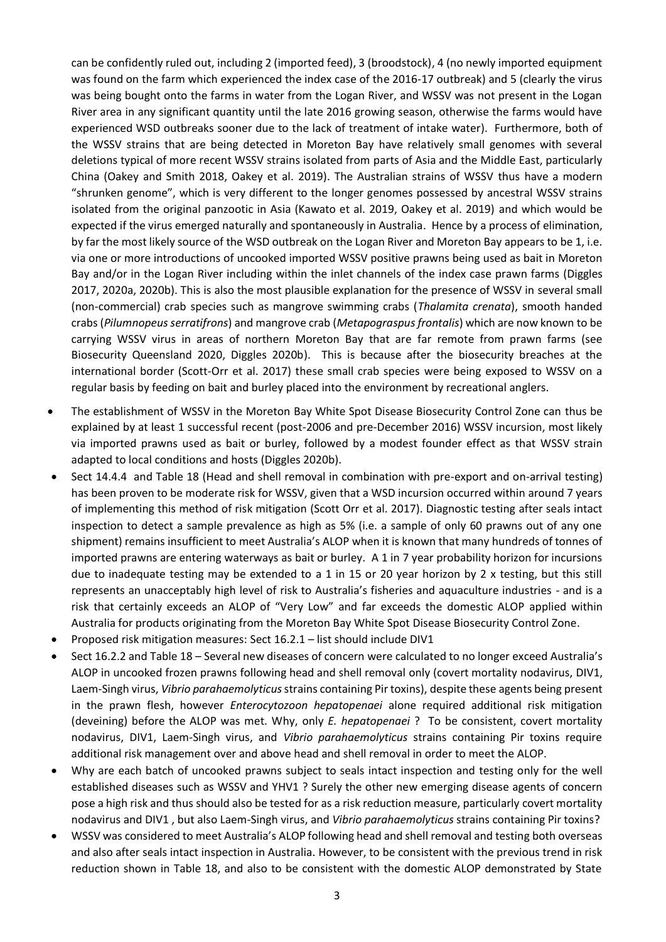can be confidently ruled out, including 2 (imported feed), 3 (broodstock), 4 (no newly imported equipment was found on the farm which experienced the index case of the 2016-17 outbreak) and 5 (clearly the virus was being bought onto the farms in water from the Logan River, and WSSV was not present in the Logan River area in any significant quantity until the late 2016 growing season, otherwise the farms would have experienced WSD outbreaks sooner due to the lack of treatment of intake water). Furthermore, both of the WSSV strains that are being detected in Moreton Bay have relatively small genomes with several deletions typical of more recent WSSV strains isolated from parts of Asia and the Middle East, particularly China (Oakey and Smith 2018, Oakey et al. 2019). The Australian strains of WSSV thus have a modern "shrunken genome", which is very different to the longer genomes possessed by ancestral WSSV strains isolated from the original panzootic in Asia (Kawato et al. 2019, Oakey et al. 2019) and which would be expected if the virus emerged naturally and spontaneously in Australia. Hence by a process of elimination, by far the most likely source of the WSD outbreak on the Logan River and Moreton Bay appears to be 1, i.e. via one or more introductions of uncooked imported WSSV positive prawns being used as bait in Moreton Bay and/or in the Logan River including within the inlet channels of the index case prawn farms (Diggles 2017, 2020a, 2020b). This is also the most plausible explanation for the presence of WSSV in several small (non-commercial) crab species such as mangrove swimming crabs (*Thalamita crenata*), smooth handed crabs (*Pilumnopeus serratifrons*) and mangrove crab (*Metapograspus frontalis*) which are now known to be carrying WSSV virus in areas of northern Moreton Bay that are far remote from prawn farms (see Biosecurity Queensland 2020, Diggles 2020b). This is because after the biosecurity breaches at the international border (Scott-Orr et al. 2017) these small crab species were being exposed to WSSV on a regular basis by feeding on bait and burley placed into the environment by recreational anglers.

- The establishment of WSSV in the Moreton Bay White Spot Disease Biosecurity Control Zone can thus be explained by at least 1 successful recent (post-2006 and pre-December 2016) WSSV incursion, most likely via imported prawns used as bait or burley, followed by a modest founder effect as that WSSV strain adapted to local conditions and hosts (Diggles 2020b).
- Sect 14.4.4 and Table 18 (Head and shell removal in combination with pre-export and on-arrival testing) has been proven to be moderate risk for WSSV, given that a WSD incursion occurred within around 7 years of implementing this method of risk mitigation (Scott Orr et al. 2017). Diagnostic testing after seals intact inspection to detect a sample prevalence as high as 5% (i.e. a sample of only 60 prawns out of any one shipment) remains insufficient to meet Australia's ALOP when it is known that many hundreds of tonnes of imported prawns are entering waterways as bait or burley. A 1 in 7 year probability horizon for incursions due to inadequate testing may be extended to a 1 in 15 or 20 year horizon by 2 x testing, but this still represents an unacceptably high level of risk to Australia's fisheries and aquaculture industries - and is a risk that certainly exceeds an ALOP of "Very Low" and far exceeds the domestic ALOP applied within Australia for products originating from the Moreton Bay White Spot Disease Biosecurity Control Zone.
- Proposed risk mitigation measures: Sect 16.2.1 list should include DIV1
- Sect 16.2.2 and Table 18 Several new diseases of concern were calculated to no longer exceed Australia's ALOP in uncooked frozen prawns following head and shell removal only (covert mortality nodavirus, DIV1, Laem-Singh virus, *Vibrio parahaemolyticus*strains containing Pir toxins), despite these agents being present in the prawn flesh, however *Enterocytozoon hepatopenaei* alone required additional risk mitigation (deveining) before the ALOP was met. Why, only *E. hepatopenaei* ? To be consistent, covert mortality nodavirus, DIV1, Laem-Singh virus, and *Vibrio parahaemolyticus* strains containing Pir toxins require additional risk management over and above head and shell removal in order to meet the ALOP.
- Why are each batch of uncooked prawns subject to seals intact inspection and testing only for the well established diseases such as WSSV and YHV1 ? Surely the other new emerging disease agents of concern pose a high risk and thus should also be tested for as a risk reduction measure, particularly covert mortality nodavirus and DIV1 , but also Laem-Singh virus, and *Vibrio parahaemolyticus* strains containing Pir toxins?
- WSSV was considered to meet Australia's ALOP following head and shell removal and testing both overseas and also after seals intact inspection in Australia. However, to be consistent with the previous trend in risk reduction shown in Table 18, and also to be consistent with the domestic ALOP demonstrated by State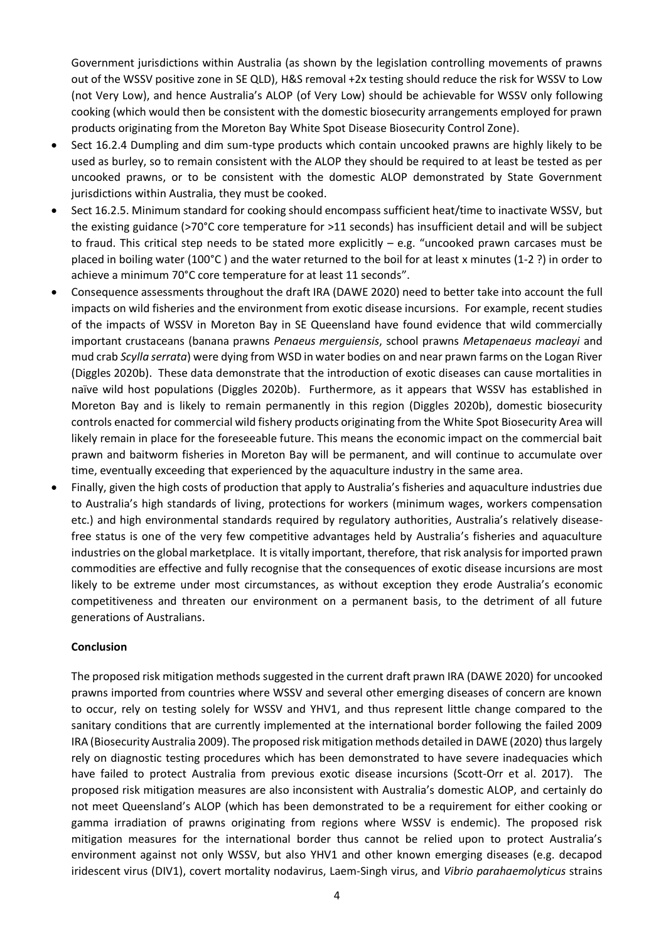Government jurisdictions within Australia (as shown by the legislation controlling movements of prawns out of the WSSV positive zone in SE QLD), H&S removal +2x testing should reduce the risk for WSSV to Low (not Very Low), and hence Australia's ALOP (of Very Low) should be achievable for WSSV only following cooking (which would then be consistent with the domestic biosecurity arrangements employed for prawn products originating from the Moreton Bay White Spot Disease Biosecurity Control Zone).

- Sect 16.2.4 Dumpling and dim sum-type products which contain uncooked prawns are highly likely to be used as burley, so to remain consistent with the ALOP they should be required to at least be tested as per uncooked prawns, or to be consistent with the domestic ALOP demonstrated by State Government jurisdictions within Australia, they must be cooked.
- Sect 16.2.5. Minimum standard for cooking should encompass sufficient heat/time to inactivate WSSV, but the existing guidance (>70°C core temperature for >11 seconds) has insufficient detail and will be subject to fraud. This critical step needs to be stated more explicitly  $-$  e.g. "uncooked prawn carcases must be placed in boiling water (100°C ) and the water returned to the boil for at least x minutes (1-2 ?) in order to achieve a minimum 70°C core temperature for at least 11 seconds".
- Consequence assessments throughout the draft IRA (DAWE 2020) need to better take into account the full impacts on wild fisheries and the environment from exotic disease incursions. For example, recent studies of the impacts of WSSV in Moreton Bay in SE Queensland have found evidence that wild commercially important crustaceans (banana prawns *Penaeus merguiensis*, school prawns *Metapenaeus macleayi* and mud crab *Scylla serrata*) were dying from WSD in water bodies on and near prawn farms on the Logan River (Diggles 2020b). These data demonstrate that the introduction of exotic diseases can cause mortalities in naïve wild host populations (Diggles 2020b). Furthermore, as it appears that WSSV has established in Moreton Bay and is likely to remain permanently in this region (Diggles 2020b), domestic biosecurity controls enacted for commercial wild fishery products originating from the White Spot Biosecurity Area will likely remain in place for the foreseeable future. This means the economic impact on the commercial bait prawn and baitworm fisheries in Moreton Bay will be permanent, and will continue to accumulate over time, eventually exceeding that experienced by the aquaculture industry in the same area.
- Finally, given the high costs of production that apply to Australia's fisheries and aquaculture industries due to Australia's high standards of living, protections for workers (minimum wages, workers compensation etc.) and high environmental standards required by regulatory authorities, Australia's relatively diseasefree status is one of the very few competitive advantages held by Australia's fisheries and aquaculture industries on the global marketplace. It is vitally important, therefore, that risk analysis for imported prawn commodities are effective and fully recognise that the consequences of exotic disease incursions are most likely to be extreme under most circumstances, as without exception they erode Australia's economic competitiveness and threaten our environment on a permanent basis, to the detriment of all future generations of Australians.

#### **Conclusion**

The proposed risk mitigation methods suggested in the current draft prawn IRA (DAWE 2020) for uncooked prawns imported from countries where WSSV and several other emerging diseases of concern are known to occur, rely on testing solely for WSSV and YHV1, and thus represent little change compared to the sanitary conditions that are currently implemented at the international border following the failed 2009 IRA (Biosecurity Australia 2009). The proposed risk mitigation methods detailed in DAWE (2020) thus largely rely on diagnostic testing procedures which has been demonstrated to have severe inadequacies which have failed to protect Australia from previous exotic disease incursions (Scott-Orr et al. 2017). The proposed risk mitigation measures are also inconsistent with Australia's domestic ALOP, and certainly do not meet Queensland's ALOP (which has been demonstrated to be a requirement for either cooking or gamma irradiation of prawns originating from regions where WSSV is endemic). The proposed risk mitigation measures for the international border thus cannot be relied upon to protect Australia's environment against not only WSSV, but also YHV1 and other known emerging diseases (e.g. decapod iridescent virus (DIV1), covert mortality nodavirus, Laem-Singh virus, and *Vibrio parahaemolyticus* strains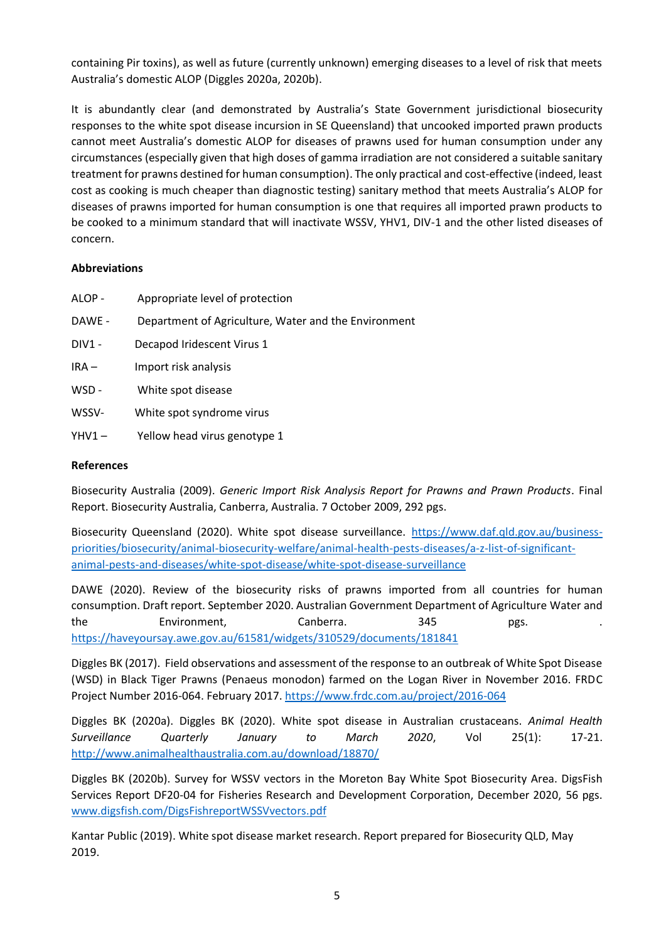containing Pir toxins), as well as future (currently unknown) emerging diseases to a level of risk that meets Australia's domestic ALOP (Diggles 2020a, 2020b).

It is abundantly clear (and demonstrated by Australia's State Government jurisdictional biosecurity responses to the white spot disease incursion in SE Queensland) that uncooked imported prawn products cannot meet Australia's domestic ALOP for diseases of prawns used for human consumption under any circumstances (especially given that high doses of gamma irradiation are not considered a suitable sanitary treatment for prawns destined for human consumption). The only practical and cost-effective (indeed, least cost as cooking is much cheaper than diagnostic testing) sanitary method that meets Australia's ALOP for diseases of prawns imported for human consumption is one that requires all imported prawn products to be cooked to a minimum standard that will inactivate WSSV, YHV1, DIV-1 and the other listed diseases of concern.

# **Abbreviations**

- ALOP Appropriate level of protection
- DAWE Department of Agriculture, Water and the Environment
- DIV1 Decapod Iridescent Virus 1
- IRA Import risk analysis
- WSD White spot disease
- WSSV- White spot syndrome virus
- YHV1 Yellow head virus genotype 1

#### **References**

Biosecurity Australia (2009). *Generic Import Risk Analysis Report for Prawns and Prawn Products*. Final Report. Biosecurity Australia, Canberra, Australia. 7 October 2009, 292 pgs.

Biosecurity Queensland (2020). White spot disease surveillance. [https://www.daf.qld.gov.au/business](https://www.daf.qld.gov.au/business-priorities/biosecurity/animal-biosecurity-welfare/animal-health-pests-diseases/a-z-list-of-significant-animal-pests-and-diseases/white-spot-disease/white-spot-disease-surveillance)[priorities/biosecurity/animal-biosecurity-welfare/animal-health-pests-diseases/a-z-list-of-significant](https://www.daf.qld.gov.au/business-priorities/biosecurity/animal-biosecurity-welfare/animal-health-pests-diseases/a-z-list-of-significant-animal-pests-and-diseases/white-spot-disease/white-spot-disease-surveillance)[animal-pests-and-diseases/white-spot-disease/white-spot-disease-surveillance](https://www.daf.qld.gov.au/business-priorities/biosecurity/animal-biosecurity-welfare/animal-health-pests-diseases/a-z-list-of-significant-animal-pests-and-diseases/white-spot-disease/white-spot-disease-surveillance)

DAWE (2020). Review of the biosecurity risks of prawns imported from all countries for human consumption. Draft report. September 2020. Australian Government Department of Agriculture Water and the Environment, Canberra. 345 pgs. <https://haveyoursay.awe.gov.au/61581/widgets/310529/documents/181841>

Diggles BK (2017). Field observations and assessment of the response to an outbreak of White Spot Disease (WSD) in Black Tiger Prawns (Penaeus monodon) farmed on the Logan River in November 2016. FRDC Project Number 2016-064. February 2017.<https://www.frdc.com.au/project/2016-064>

Diggles BK (2020a). Diggles BK (2020). White spot disease in Australian crustaceans. *Animal Health Surveillance Quarterly January to March 2020*, Vol 25(1): 17-21. <http://www.animalhealthaustralia.com.au/download/18870/>

Diggles BK (2020b). Survey for WSSV vectors in the Moreton Bay White Spot Biosecurity Area. DigsFish Services Report DF20-04 for Fisheries Research and Development Corporation, December 2020, 56 pgs. [www.digsfish.com/DigsFishreportWSSVvectors.pdf](http://www.digsfish.com/DigsFishreportWSSVvectors.pdf)

Kantar Public (2019). White spot disease market research. Report prepared for Biosecurity QLD, May 2019.